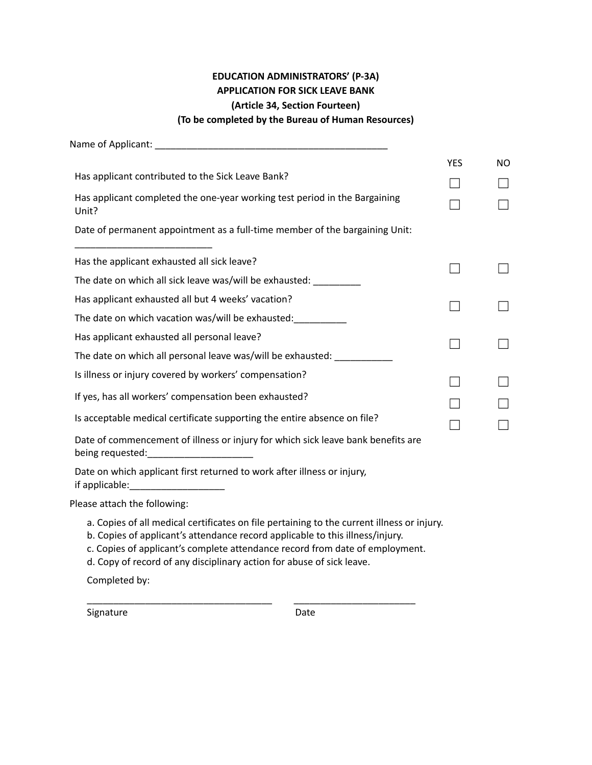## **EDUCATION ADMINISTRATORS' (P-3A) APPLICATION FOR SICK LEAVE BANK (Article 34, Section Fourteen) (To be completed by the Bureau of Human Resources)**

|                                                                                                                             | <b>YES</b> | NO. |
|-----------------------------------------------------------------------------------------------------------------------------|------------|-----|
| Has applicant contributed to the Sick Leave Bank?                                                                           |            |     |
| Has applicant completed the one-year working test period in the Bargaining<br>Unit?                                         |            |     |
| Date of permanent appointment as a full-time member of the bargaining Unit:                                                 |            |     |
| Has the applicant exhausted all sick leave?                                                                                 |            |     |
| The date on which all sick leave was/will be exhausted:                                                                     |            |     |
| Has applicant exhausted all but 4 weeks' vacation?                                                                          |            |     |
| The date on which vacation was/will be exhausted:                                                                           |            |     |
| Has applicant exhausted all personal leave?                                                                                 |            |     |
| The date on which all personal leave was/will be exhausted:                                                                 |            |     |
| Is illness or injury covered by workers' compensation?                                                                      |            |     |
| If yes, has all workers' compensation been exhausted?                                                                       |            |     |
| Is acceptable medical certificate supporting the entire absence on file?                                                    |            |     |
| Date of commencement of illness or injury for which sick leave bank benefits are<br>being requested: ______________________ |            |     |
| Date on which applicant first returned to work after illness or injury,                                                     |            |     |
| Please attach the following:                                                                                                |            |     |
| a. Copies of all medical certificates on file pertaining to the current illness or injury.                                  |            |     |

- b. Copies of applicant's attendance record applicable to this illness/injury.
- c. Copies of applicant's complete attendance record from date of employment.

\_\_\_\_\_\_\_\_\_\_\_\_\_\_\_\_\_\_\_\_\_\_\_\_\_\_\_\_\_\_\_\_\_\_\_ \_\_\_\_\_\_\_\_\_\_\_\_\_\_\_\_\_\_\_\_\_\_\_

d. Copy of record of any disciplinary action for abuse of sick leave.

Completed by:

Signature Date Date